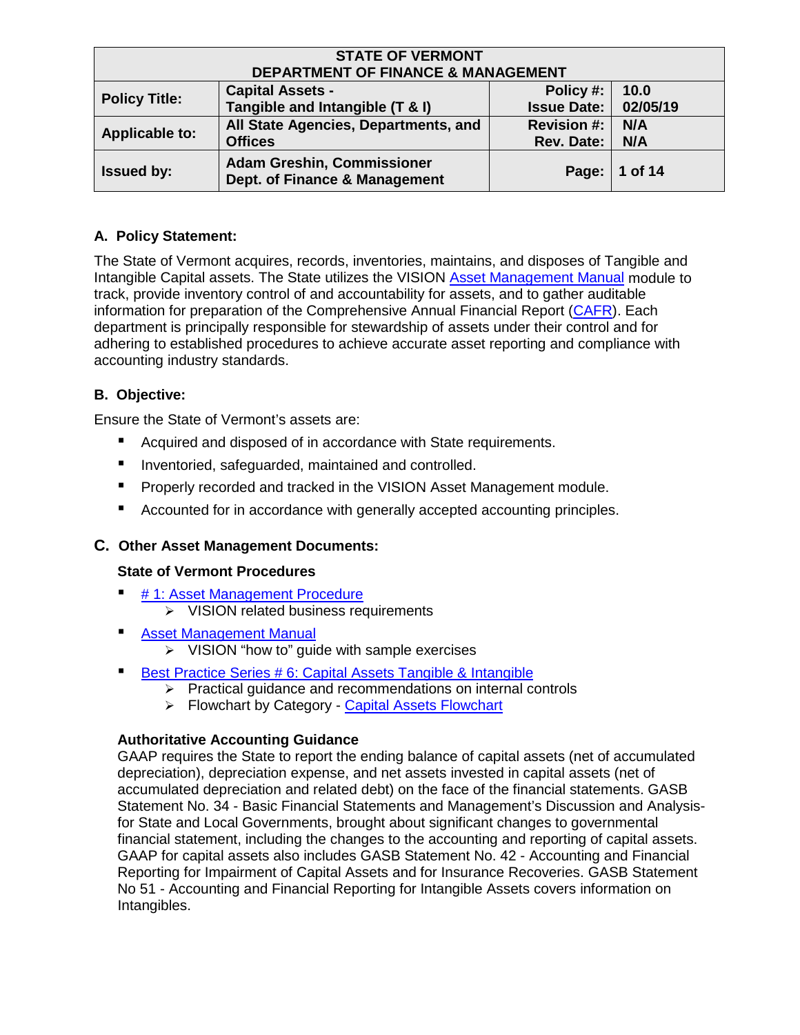| <b>STATE OF VERMONT</b><br><b>DEPARTMENT OF FINANCE &amp; MANAGEMENT</b>                                                                  |                                                        |                                  |            |  |
|-------------------------------------------------------------------------------------------------------------------------------------------|--------------------------------------------------------|----------------------------------|------------|--|
| <b>Capital Assets -</b><br>Policy #:<br>10.0<br><b>Policy Title:</b><br>Tangible and Intangible (T & I)<br>02/05/19<br><b>Issue Date:</b> |                                                        |                                  |            |  |
| <b>Applicable to:</b>                                                                                                                     | All State Agencies, Departments, and<br><b>Offices</b> | <b>Revision #:</b><br>Rev. Date: | N/A<br>N/A |  |
| <b>Adam Greshin, Commissioner</b><br><b>Issued by:</b><br>1 of 14<br>Page:<br>Dept. of Finance & Management                               |                                                        |                                  |            |  |

# **A. Policy Statement:**

The State of Vermont acquires, records, inventories, maintains, and disposes of Tangible and Intangible Capital assets. The State utilizes the VISION [Asset Management Manual](https://finance.vermont.gov/vision-module-support/asset-management) module to track, provide inventory control of and accountability for assets, and to gather auditable information for preparation of the Comprehensive Annual Financial Report [\(CAFR\)](https://finance.vermont.gov/reports-and-publications/cafr). Each department is principally responsible for stewardship of assets under their control and for adhering to established procedures to achieve accurate asset reporting and compliance with accounting industry standards.

# **B. Objective:**

Ensure the State of Vermont's assets are:

- Acquired and disposed of in accordance with State requirements.
- **■** Inventoried, safeguarded, maintained and controlled.
- Properly recorded and tracked in the VISION Asset Management module.
- Accounted for in accordance with generally accepted accounting principles.

## **C. Other Asset Management Documents:**

## **State of Vermont Procedures**

- [# 1: Asset Management Procedure](https://finance.vermont.gov/policies-and-procedures/vision-procedures)
	- $\triangleright$  VISION related business requirements
- **E** [Asset Management Manual](https://finance.vermont.gov/policies-and-procedures/vision-procedures)
	- $\triangleright$  VISION "how to" guide with sample exercises
- [Best Practice Series # 6: Capital Assets Tangible & Intangible](https://finance.vermont.gov/policies-and-procedures/internal-controls)
	- $\triangleright$  Practical guidance and recommendations on internal controls
	- > Flowchart by Category [Capital Assets Flowchart](https://finance.vermont.gov/policies-and-procedures/internal-controls)

## **Authoritative Accounting Guidance**

GAAP requires the State to report the ending balance of capital assets (net of accumulated depreciation), depreciation expense, and net assets invested in capital assets (net of accumulated depreciation and related debt) on the face of the financial statements. GASB Statement No. 34 - Basic Financial Statements and Management's Discussion and Analysisfor State and Local Governments, brought about significant changes to governmental financial statement, including the changes to the accounting and reporting of capital assets. GAAP for capital assets also includes GASB Statement No. 42 - Accounting and Financial Reporting for Impairment of Capital Assets and for Insurance Recoveries. GASB Statement No 51 - Accounting and Financial Reporting for Intangible Assets covers information on Intangibles.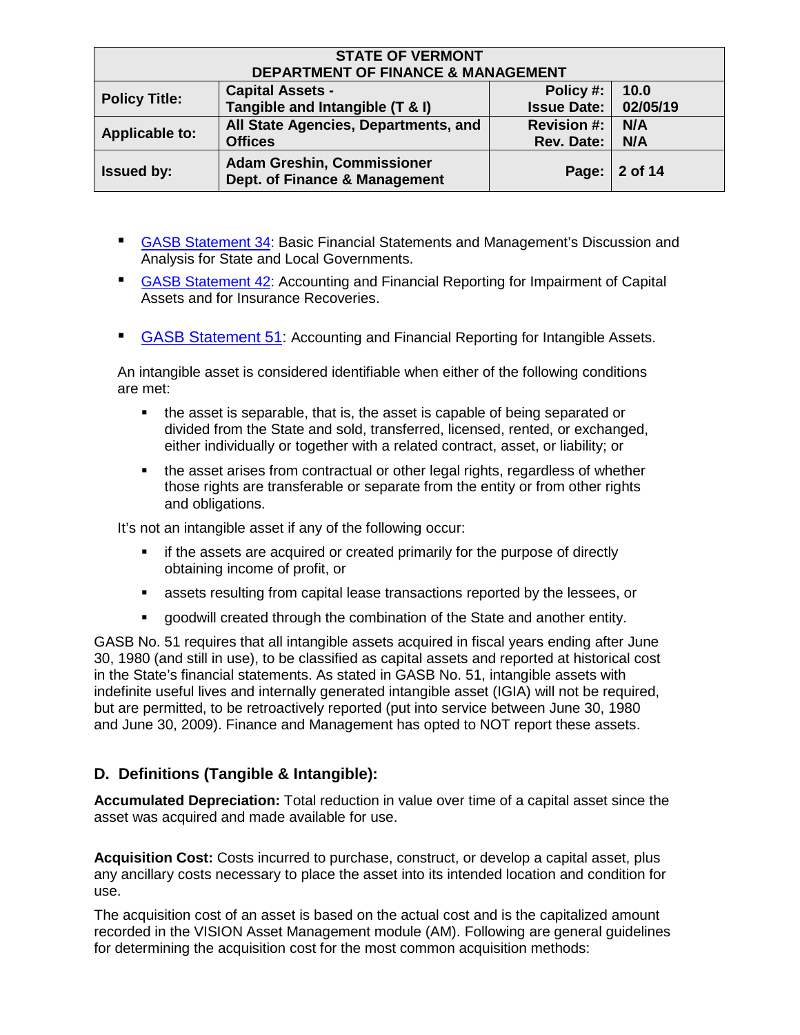| <b>STATE OF VERMONT</b><br><b>DEPARTMENT OF FINANCE &amp; MANAGEMENT</b>                                                                  |                                                                    |                                         |            |  |
|-------------------------------------------------------------------------------------------------------------------------------------------|--------------------------------------------------------------------|-----------------------------------------|------------|--|
| <b>Capital Assets -</b><br>10.0<br>Policy #:<br><b>Policy Title:</b><br>Tangible and Intangible (T & I)<br>02/05/19<br><b>Issue Date:</b> |                                                                    |                                         |            |  |
| <b>Applicable to:</b>                                                                                                                     | All State Agencies, Departments, and<br><b>Offices</b>             | <b>Revision #:</b><br><b>Rev. Date:</b> | N/A<br>N/A |  |
| <b>Issued by:</b>                                                                                                                         | <b>Adam Greshin, Commissioner</b><br>Dept. of Finance & Management | Page:                                   | 2 of 14    |  |

- [GASB Statement 34:](https://www.gasb.org/st/summary/gstsm34.html) Basic Financial Statements and Management's Discussion and Analysis for State and Local Governments.
- [GASB Statement 42:](https://www.gasb.org/jsp/GASB/Document_C/DocumentPage?cid=1176160028905&acceptedDisclaimer=true) Accounting and Financial Reporting for Impairment of Capital Assets and for Insurance Recoveries.
- [GASB Statement 51:](https://www.gasb.org/st/summary/gstsm51.html) Accounting and Financial Reporting for Intangible Assets.

An intangible asset is considered identifiable when either of the following conditions are met:

- the asset is separable, that is, the asset is capable of being separated or divided from the State and sold, transferred, licensed, rented, or exchanged, either individually or together with a related contract, asset, or liability; or
- the asset arises from contractual or other legal rights, regardless of whether those rights are transferable or separate from the entity or from other rights and obligations.

It's not an intangible asset if any of the following occur:

- if the assets are acquired or created primarily for the purpose of directly obtaining income of profit, or
- assets resulting from capital lease transactions reported by the lessees, or
- goodwill created through the combination of the State and another entity.

GASB No. 51 requires that all intangible assets acquired in fiscal years ending after June 30, 1980 (and still in use), to be classified as capital assets and reported at historical cost in the State's financial statements. As stated in GASB No. 51, intangible assets with indefinite useful lives and internally generated intangible asset (IGIA) will not be required, but are permitted, to be retroactively reported (put into service between June 30, 1980 and June 30, 2009). Finance and Management has opted to NOT report these assets.

## **D. Definitions (Tangible & Intangible):**

**Accumulated Depreciation:** Total reduction in value over time of a capital asset since the asset was acquired and made available for use.

**Acquisition Cost:** Costs incurred to purchase, construct, or develop a capital asset, plus any ancillary costs necessary to place the asset into its intended location and condition for use.

The acquisition cost of an asset is based on the actual cost and is the capitalized amount recorded in the VISION Asset Management module (AM). Following are general guidelines for determining the acquisition cost for the most common acquisition methods: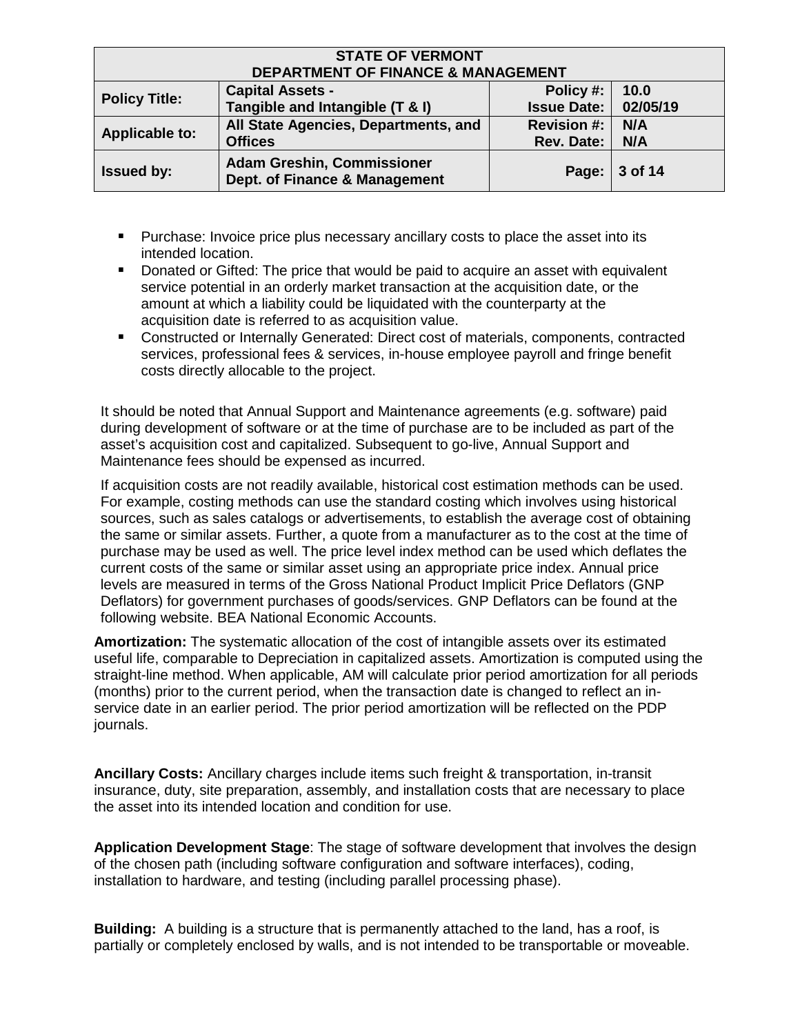| <b>STATE OF VERMONT</b><br><b>DEPARTMENT OF FINANCE &amp; MANAGEMENT</b>                                                                  |                                                        |                                         |            |  |
|-------------------------------------------------------------------------------------------------------------------------------------------|--------------------------------------------------------|-----------------------------------------|------------|--|
| <b>Capital Assets -</b><br>Policy #:<br>10.0<br><b>Policy Title:</b><br>Tangible and Intangible (T & I)<br>02/05/19<br><b>Issue Date:</b> |                                                        |                                         |            |  |
| <b>Applicable to:</b>                                                                                                                     | All State Agencies, Departments, and<br><b>Offices</b> | <b>Revision #:</b><br><b>Rev. Date:</b> | N/A<br>N/A |  |
| <b>Adam Greshin, Commissioner</b><br><b>Issued by:</b><br>3 of 14<br>Page:<br>Dept. of Finance & Management                               |                                                        |                                         |            |  |

- **Purchase: Invoice price plus necessary ancillary costs to place the asset into its** intended location.
- **Donated or Gifted: The price that would be paid to acquire an asset with equivalent** service potential in an orderly market transaction at the acquisition date, or the amount at which a liability could be liquidated with the counterparty at the acquisition date is referred to as acquisition value.
- Constructed or Internally Generated: Direct cost of materials, components, contracted services, professional fees & services, in-house employee payroll and fringe benefit costs directly allocable to the project.

It should be noted that Annual Support and Maintenance agreements (e.g. software) paid during development of software or at the time of purchase are to be included as part of the asset's acquisition cost and capitalized. Subsequent to go-live, Annual Support and Maintenance fees should be expensed as incurred.

If acquisition costs are not readily available, historical cost estimation methods can be used. For example, costing methods can use the standard costing which involves using historical sources, such as sales catalogs or advertisements, to establish the average cost of obtaining the same or similar assets. Further, a quote from a manufacturer as to the cost at the time of purchase may be used as well. The price level index method can be used which deflates the current costs of the same or similar asset using an appropriate price index. Annual price levels are measured in terms of the Gross National Product Implicit Price Deflators (GNP Deflators) for government purchases of goods/services. GNP Deflators can be found at the following website. [BEA National Economic](http://www.bea.gov/national/index.htm) [Accounts.](http://www.bea.gov/national/index.htm)

**Amortization:** The systematic allocation of the cost of intangible assets over its estimated useful life, comparable to Depreciation in capitalized assets. Amortization is computed using the straight-line method. When applicable, AM will calculate prior period amortization for all periods (months) prior to the current period, when the transaction date is changed to reflect an inservice date in an earlier period. The prior period amortization will be reflected on the PDP journals.

**Ancillary Costs:** Ancillary charges include items such freight & transportation, in-transit insurance, duty, site preparation, assembly, and installation costs that are necessary to place the asset into its intended location and condition for use.

**Application Development Stage**: The stage of software development that involves the design of the chosen path (including software configuration and software interfaces), coding, installation to hardware, and testing (including parallel processing phase).

**Building:** A building is a structure that is permanently attached to the land, has a roof, is partially or completely enclosed by walls, and is not intended to be transportable or moveable.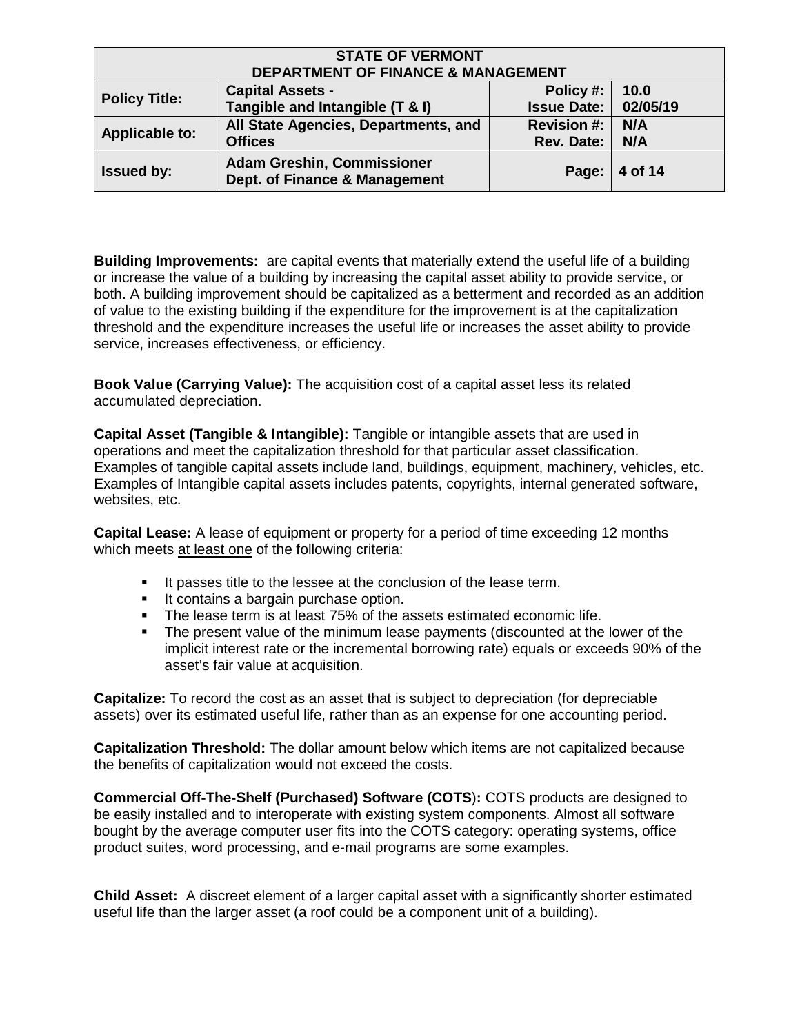| <b>STATE OF VERMONT</b><br><b>DEPARTMENT OF FINANCE &amp; MANAGEMENT</b>                                                                  |                                                        |                                         |            |  |
|-------------------------------------------------------------------------------------------------------------------------------------------|--------------------------------------------------------|-----------------------------------------|------------|--|
| <b>Capital Assets -</b><br>10.0<br>Policy #:<br><b>Policy Title:</b><br>Tangible and Intangible (T & I)<br>02/05/19<br><b>Issue Date:</b> |                                                        |                                         |            |  |
| <b>Applicable to:</b>                                                                                                                     | All State Agencies, Departments, and<br><b>Offices</b> | <b>Revision #:</b><br><b>Rev. Date:</b> | N/A<br>N/A |  |
| <b>Adam Greshin, Commissioner</b><br><b>Issued by:</b><br>4 of 14<br>Page:<br>Dept. of Finance & Management                               |                                                        |                                         |            |  |

**Building Improvements:** are capital events that materially extend the useful life of a building or increase the value of a building by increasing the capital asset ability to provide service, or both. A building improvement should be capitalized as a betterment and recorded as an addition of value to the existing building if the expenditure for the improvement is at the capitalization threshold and the expenditure increases the useful life or increases the asset ability to provide service, increases effectiveness, or efficiency.

**Book Value (Carrying Value):** The acquisition cost of a capital asset less its related accumulated depreciation.

**Capital Asset (Tangible & Intangible):** Tangible or intangible assets that are used in operations and meet the capitalization threshold for that particular asset classification. Examples of tangible capital assets include land, buildings, equipment, machinery, vehicles, etc. Examples of Intangible capital assets includes patents, copyrights, internal generated software, websites, etc.

**Capital Lease:** A lease of equipment or property for a period of time exceeding 12 months which meets at least one of the following criteria:

- It passes title to the lessee at the conclusion of the lease term.
- **If contains a bargain purchase option.**
- The lease term is at least 75% of the assets estimated economic life.
- The present value of the minimum lease payments (discounted at the lower of the implicit interest rate or the incremental borrowing rate) equals or exceeds 90% of the asset's fair value at acquisition.

**Capitalize:** To record the cost as an asset that is subject to depreciation (for depreciable assets) over its estimated useful life, rather than as an expense for one accounting period.

**Capitalization Threshold:** The dollar amount below which items are not capitalized because the benefits of capitalization would not exceed the costs.

**Commercial Off-The-Shelf (Purchased) Software (COTS**)**:** COTS products are designed to be easily installed and to interoperate with existing system components. Almost all software bought by the average computer user fits into the COTS category: operating systems, office product suites, word processing, and e-mail programs are some examples.

**Child Asset:** A discreet element of a larger capital asset with a significantly shorter estimated useful life than the larger asset (a roof could be a component unit of a building).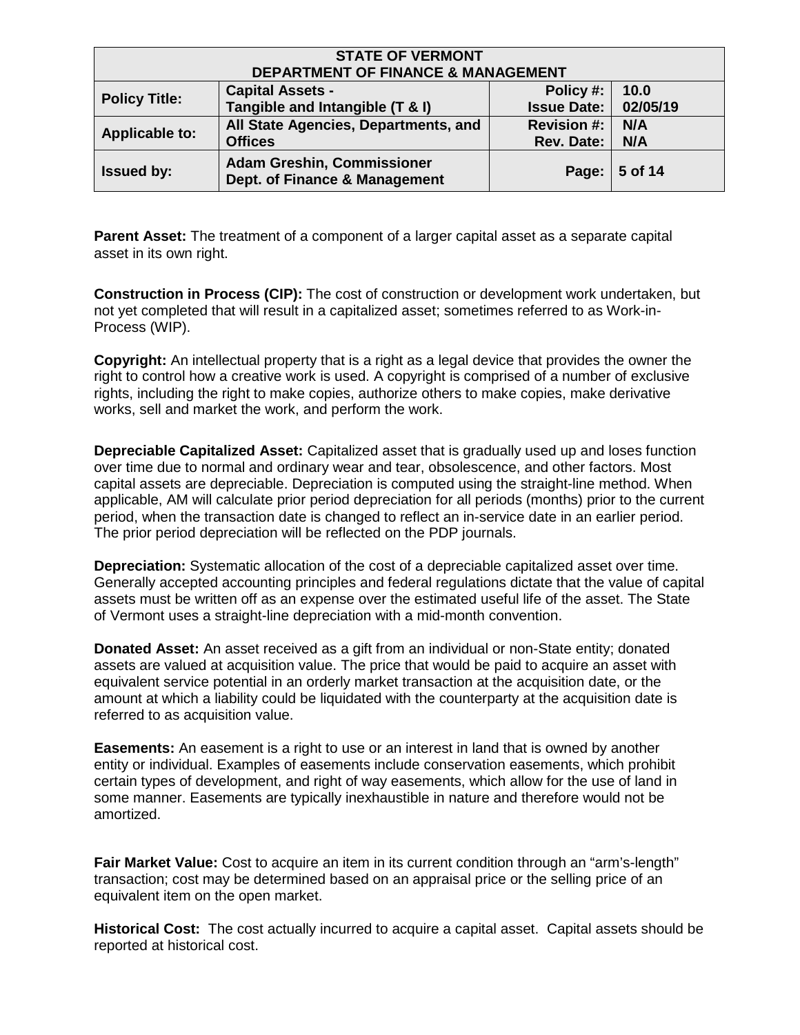| <b>STATE OF VERMONT</b><br><b>DEPARTMENT OF FINANCE &amp; MANAGEMENT</b>                                                                  |                                                        |                                         |            |  |
|-------------------------------------------------------------------------------------------------------------------------------------------|--------------------------------------------------------|-----------------------------------------|------------|--|
| 10.0<br><b>Capital Assets -</b><br>Policy #:<br><b>Policy Title:</b><br>Tangible and Intangible (T & I)<br>02/05/19<br><b>Issue Date:</b> |                                                        |                                         |            |  |
| <b>Applicable to:</b>                                                                                                                     | All State Agencies, Departments, and<br><b>Offices</b> | <b>Revision #:</b><br><b>Rev. Date:</b> | N/A<br>N/A |  |
| <b>Adam Greshin, Commissioner</b><br><b>Issued by:</b><br>5 of 14<br>Page:<br>Dept. of Finance & Management                               |                                                        |                                         |            |  |

**Parent Asset:** The treatment of a component of a larger capital asset as a separate capital asset in its own right.

**Construction in Process (CIP):** The cost of construction or development work undertaken, but not yet completed that will result in a capitalized asset; sometimes referred to as Work-in-Process (WIP).

**Copyright:** An intellectual property that is a right as a legal device that provides the owner the right to control how a creative work is used. A copyright is comprised of a number of exclusive rights, including the right to make copies, authorize others to make copies, make derivative works, sell and market the work, and perform the work.

**Depreciable Capitalized Asset:** Capitalized asset that is gradually used up and loses function over time due to normal and ordinary wear and tear, obsolescence, and other factors. Most capital assets are depreciable. Depreciation is computed using the straight-line method. When applicable, AM will calculate prior period depreciation for all periods (months) prior to the current period, when the transaction date is changed to reflect an in-service date in an earlier period. The prior period depreciation will be reflected on the PDP journals.

**Depreciation:** Systematic allocation of the cost of a depreciable capitalized asset over time. Generally accepted accounting principles and federal regulations dictate that the value of capital assets must be written off as an expense over the estimated useful life of the asset. The State of Vermont uses a straight-line depreciation with a mid-month convention.

**Donated Asset:** An asset received as a gift from an individual or non-State entity; donated assets are valued at acquisition value. The price that would be paid to acquire an asset with equivalent service potential in an orderly market transaction at the acquisition date, or the amount at which a liability could be liquidated with the counterparty at the acquisition date is referred to as acquisition value.

**Easements:** An easement is a right to use or an interest in land that is owned by another entity or individual. Examples of easements include conservation easements, which prohibit certain types of development, and right of way easements, which allow for the use of land in some manner. Easements are typically inexhaustible in nature and therefore would not be amortized.

**Fair Market Value:** Cost to acquire an item in its current condition through an "arm's-length" transaction; cost may be determined based on an appraisal price or the selling price of an equivalent item on the open market.

**Historical Cost:** The cost actually incurred to acquire a capital asset. Capital assets should be reported at historical cost.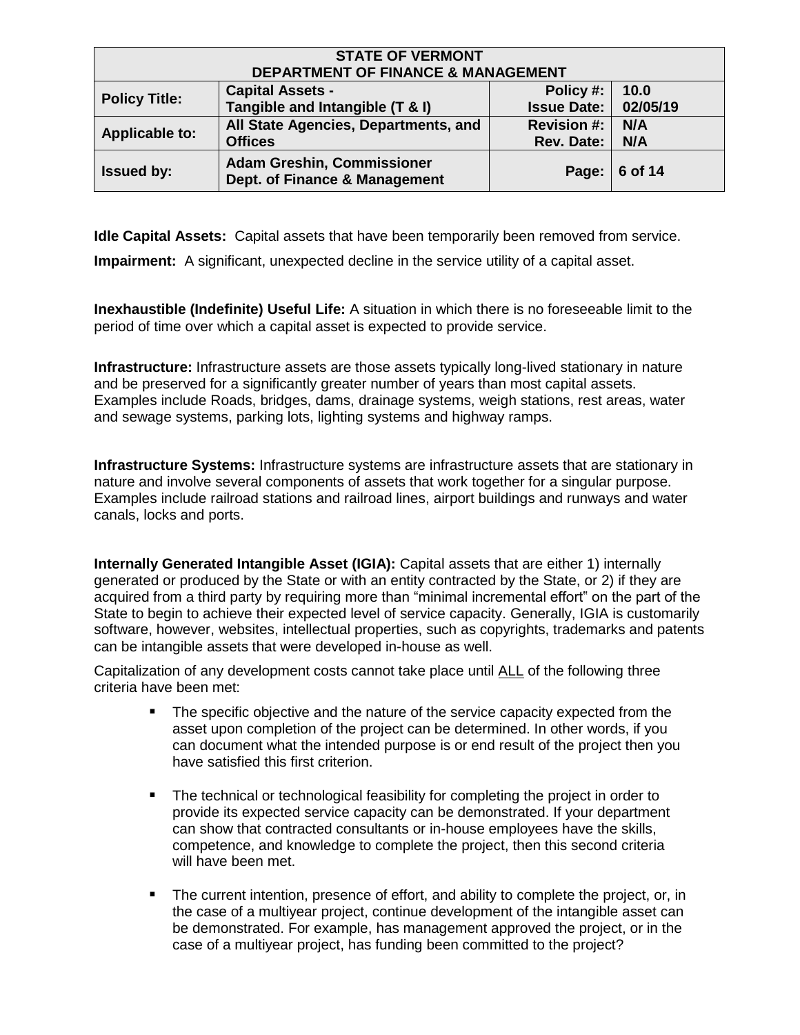| <b>STATE OF VERMONT</b><br><b>DEPARTMENT OF FINANCE &amp; MANAGEMENT</b>                                                                  |                                                        |                                         |            |  |
|-------------------------------------------------------------------------------------------------------------------------------------------|--------------------------------------------------------|-----------------------------------------|------------|--|
| <b>Capital Assets -</b><br>Policy #:<br>10.0<br><b>Policy Title:</b><br>Tangible and Intangible (T & I)<br>02/05/19<br><b>Issue Date:</b> |                                                        |                                         |            |  |
| <b>Applicable to:</b>                                                                                                                     | All State Agencies, Departments, and<br><b>Offices</b> | <b>Revision #:</b><br><b>Rev. Date:</b> | N/A<br>N/A |  |
| <b>Adam Greshin, Commissioner</b><br><b>Issued by:</b><br>6 of 14<br>Page:<br>Dept. of Finance & Management                               |                                                        |                                         |            |  |

**Idle Capital Assets:** Capital assets that have been temporarily been removed from service.

**Impairment:** A significant, unexpected decline in the service utility of a capital asset.

**Inexhaustible (Indefinite) Useful Life:** A situation in which there is no foreseeable limit to the period of time over which a capital asset is expected to provide service.

**Infrastructure:** Infrastructure assets are those assets typically long-lived stationary in nature and be preserved for a significantly greater number of years than most capital assets. Examples include Roads, bridges, dams, drainage systems, weigh stations, rest areas, water and sewage systems, parking lots, lighting systems and highway ramps.

**Infrastructure Systems:** Infrastructure systems are infrastructure assets that are stationary in nature and involve several components of assets that work together for a singular purpose. Examples include railroad stations and railroad lines, airport buildings and runways and water canals, locks and ports.

**Internally Generated Intangible Asset (IGIA):** Capital assets that are either 1) internally generated or produced by the State or with an entity contracted by the State, or 2) if they are acquired from a third party by requiring more than "minimal incremental effort" on the part of the State to begin to achieve their expected level of service capacity. Generally, IGIA is customarily software, however, websites, intellectual properties, such as copyrights, trademarks and patents can be intangible assets that were developed in-house as well.

Capitalization of any development costs cannot take place until ALL of the following three criteria have been met:

- **The specific objective and the nature of the service capacity expected from the** asset upon completion of the project can be determined. In other words, if you can document what the intended purpose is or end result of the project then you have satisfied this first criterion.
- The technical or technological feasibility for completing the project in order to provide its expected service capacity can be demonstrated. If your department can show that contracted consultants or in-house employees have the skills, competence, and knowledge to complete the project, then this second criteria will have been met.
- The current intention, presence of effort, and ability to complete the project, or, in the case of a multiyear project, continue development of the intangible asset can be demonstrated. For example, has management approved the project, or in the case of a multiyear project, has funding been committed to the project?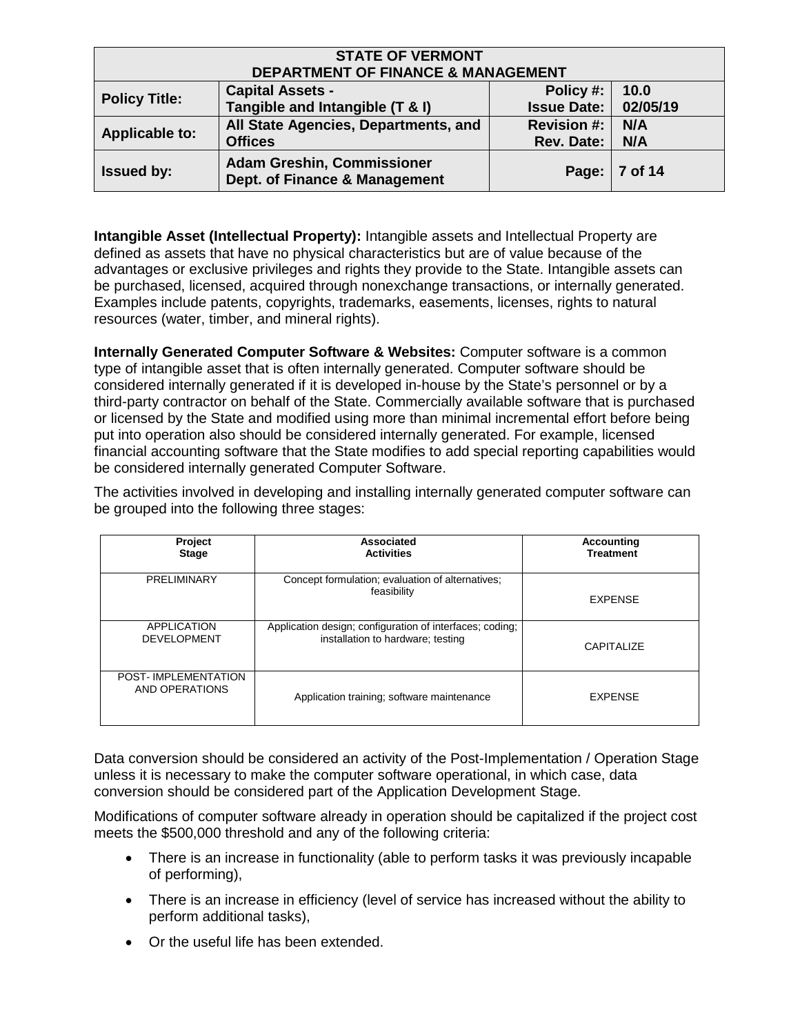| <b>STATE OF VERMONT</b><br><b>DEPARTMENT OF FINANCE &amp; MANAGEMENT</b>                                                                  |                                                        |                                         |            |  |
|-------------------------------------------------------------------------------------------------------------------------------------------|--------------------------------------------------------|-----------------------------------------|------------|--|
| <b>Capital Assets -</b><br>10.0<br>Policy #:<br><b>Policy Title:</b><br>Tangible and Intangible (T & I)<br>02/05/19<br><b>Issue Date:</b> |                                                        |                                         |            |  |
| <b>Applicable to:</b>                                                                                                                     | All State Agencies, Departments, and<br><b>Offices</b> | <b>Revision #:</b><br><b>Rev. Date:</b> | N/A<br>N/A |  |
| <b>Adam Greshin, Commissioner</b><br><b>Issued by:</b><br>7 of 14<br>Page:<br>Dept. of Finance & Management                               |                                                        |                                         |            |  |

**Intangible Asset (Intellectual Property):** Intangible assets and Intellectual Property are defined as assets that have no physical characteristics but are of value because of the advantages or exclusive privileges and rights they provide to the State. Intangible assets can be purchased, licensed, acquired through nonexchange transactions, or internally generated. Examples include patents, copyrights, trademarks, easements, licenses, rights to natural resources (water, timber, and mineral rights).

**Internally Generated Computer Software & Websites:** Computer software is a common type of intangible asset that is often internally generated. Computer software should be considered internally generated if it is developed in-house by the State's personnel or by a third-party contractor on behalf of the State. Commercially available software that is purchased or licensed by the State and modified using more than minimal incremental effort before being put into operation also should be considered internally generated. For example, licensed financial accounting software that the State modifies to add special reporting capabilities would be considered internally generated Computer Software.

The activities involved in developing and installing internally generated computer software can be grouped into the following three stages:

| Project<br><b>Stage</b>                      | Associated<br><b>Activities</b>                                                               | Accounting<br><b>Treatment</b> |
|----------------------------------------------|-----------------------------------------------------------------------------------------------|--------------------------------|
| PRELIMINARY                                  | Concept formulation; evaluation of alternatives;<br>feasibility                               | <b>EXPENSE</b>                 |
| <b>APPLICATION</b><br><b>DEVELOPMENT</b>     | Application design; configuration of interfaces; coding;<br>installation to hardware; testing | <b>CAPITALIZE</b>              |
| <b>POST-IMPLEMENTATION</b><br>AND OPERATIONS | Application training; software maintenance                                                    | <b>EXPENSE</b>                 |

Data conversion should be considered an activity of the Post-Implementation / Operation Stage unless it is necessary to make the computer software operational, in which case, data conversion should be considered part of the Application Development Stage.

Modifications of computer software already in operation should be capitalized if the project cost meets the \$500,000 threshold and any of the following criteria:

- There is an increase in functionality (able to perform tasks it was previously incapable of performing),
- There is an increase in efficiency (level of service has increased without the ability to perform additional tasks),
- Or the useful life has been extended.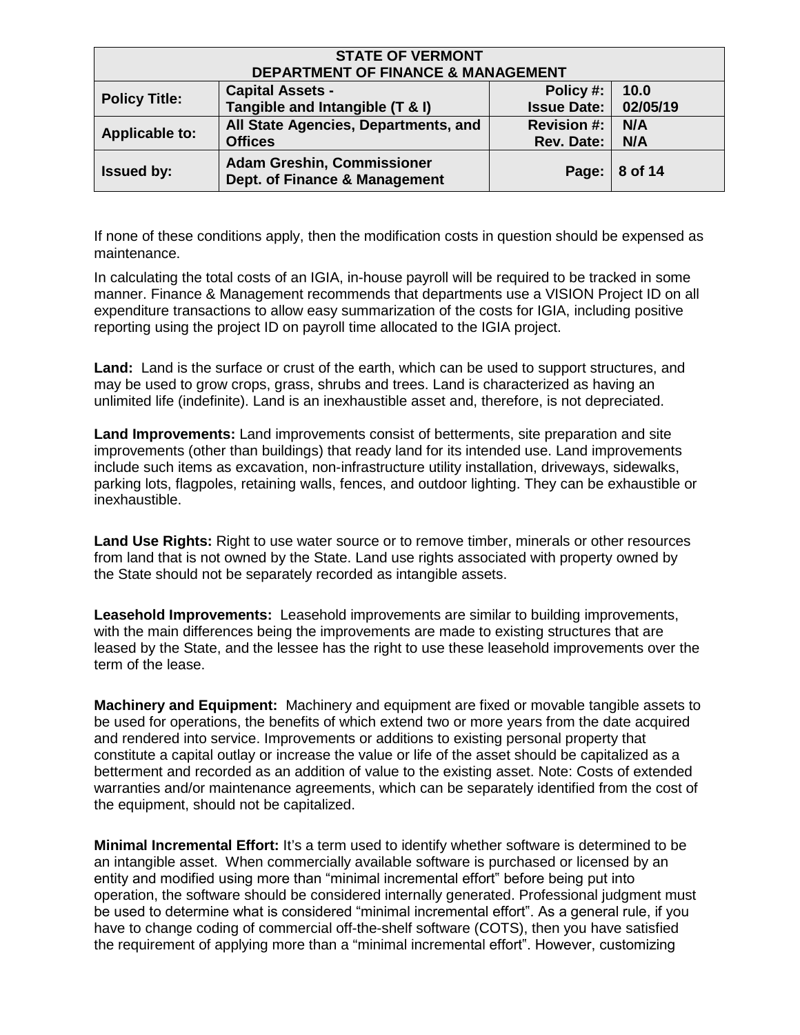| <b>STATE OF VERMONT</b><br><b>DEPARTMENT OF FINANCE &amp; MANAGEMENT</b>                                                                  |                                                        |                                         |            |  |
|-------------------------------------------------------------------------------------------------------------------------------------------|--------------------------------------------------------|-----------------------------------------|------------|--|
| 10.0<br><b>Capital Assets -</b><br>Policy #:<br><b>Policy Title:</b><br>Tangible and Intangible (T & I)<br><b>Issue Date:</b><br>02/05/19 |                                                        |                                         |            |  |
| <b>Applicable to:</b>                                                                                                                     | All State Agencies, Departments, and<br><b>Offices</b> | <b>Revision #:</b><br><b>Rev. Date:</b> | N/A<br>N/A |  |
| <b>Adam Greshin, Commissioner</b><br><b>Issued by:</b><br>8 of 14<br>Page:<br>Dept. of Finance & Management                               |                                                        |                                         |            |  |

If none of these conditions apply, then the modification costs in question should be expensed as maintenance.

In calculating the total costs of an IGIA, in-house payroll will be required to be tracked in some manner. Finance & Management recommends that departments use a VISION Project ID on all expenditure transactions to allow easy summarization of the costs for IGIA, including positive reporting using the project ID on payroll time allocated to the IGIA project.

**Land:** Land is the surface or crust of the earth, which can be used to support structures, and may be used to grow crops, grass, shrubs and trees. Land is characterized as having an unlimited life (indefinite). Land is an inexhaustible asset and, therefore, is not depreciated.

**Land Improvements:** Land improvements consist of betterments, site preparation and site improvements (other than buildings) that ready land for its intended use. Land improvements include such items as excavation, non-infrastructure utility installation, driveways, sidewalks, parking lots, flagpoles, retaining walls, fences, and outdoor lighting. They can be exhaustible or inexhaustible.

**Land Use Rights:** Right to use water source or to remove timber, minerals or other resources from land that is not owned by the State. Land use rights associated with property owned by the State should not be separately recorded as intangible assets.

**Leasehold Improvements:** Leasehold improvements are similar to building improvements, with the main differences being the improvements are made to existing structures that are leased by the State, and the lessee has the right to use these leasehold improvements over the term of the lease.

**Machinery and Equipment:** Machinery and equipment are fixed or movable tangible assets to be used for operations, the benefits of which extend two or more years from the date acquired and rendered into service. Improvements or additions to existing personal property that constitute a capital outlay or increase the value or life of the asset should be capitalized as a betterment and recorded as an addition of value to the existing asset. Note: Costs of extended warranties and/or maintenance agreements, which can be separately identified from the cost of the equipment, should not be capitalized.

**Minimal Incremental Effort:** It's a term used to identify whether software is determined to be an intangible asset. When commercially available software is purchased or licensed by an entity and modified using more than "minimal incremental effort" before being put into operation, the software should be considered internally generated. Professional judgment must be used to determine what is considered "minimal incremental effort". As a general rule, if you have to change coding of commercial off-the-shelf software (COTS), then you have satisfied the requirement of applying more than a "minimal incremental effort". However, customizing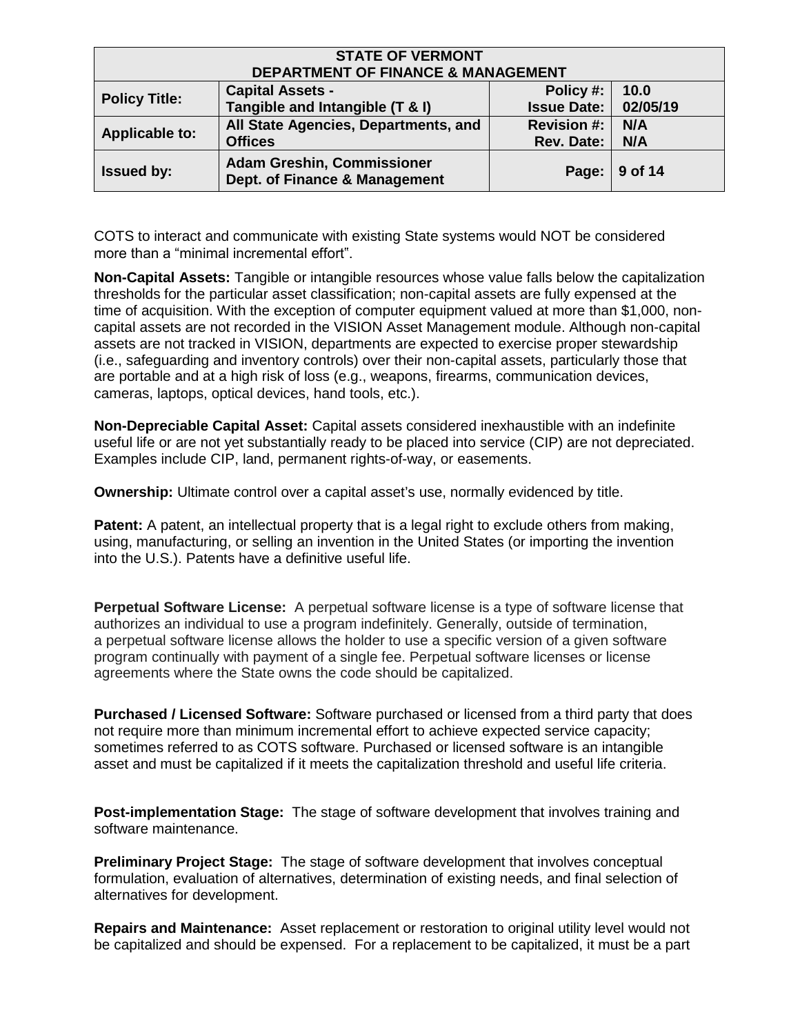| <b>STATE OF VERMONT</b><br><b>DEPARTMENT OF FINANCE &amp; MANAGEMENT</b>                                                                  |                                                        |                                         |            |  |
|-------------------------------------------------------------------------------------------------------------------------------------------|--------------------------------------------------------|-----------------------------------------|------------|--|
| <b>Capital Assets -</b><br>Policy #:<br>10.0<br><b>Policy Title:</b><br>Tangible and Intangible (T & I)<br>02/05/19<br><b>Issue Date:</b> |                                                        |                                         |            |  |
| <b>Applicable to:</b>                                                                                                                     | All State Agencies, Departments, and<br><b>Offices</b> | <b>Revision #:</b><br><b>Rev. Date:</b> | N/A<br>N/A |  |
| <b>Adam Greshin, Commissioner</b><br>9 of 14<br><b>Issued by:</b><br>Page:<br>Dept. of Finance & Management                               |                                                        |                                         |            |  |

COTS to interact and communicate with existing State systems would NOT be considered more than a "minimal incremental effort".

**Non-Capital Assets:** Tangible or intangible resources whose value falls below the capitalization thresholds for the particular asset classification; non-capital assets are fully expensed at the time of acquisition. With the exception of computer equipment valued at more than \$1,000, noncapital assets are not recorded in the VISION Asset Management module. Although non-capital assets are not tracked in VISION, departments are expected to exercise proper stewardship (i.e., safeguarding and inventory controls) over their non-capital assets, particularly those that are portable and at a high risk of loss (e.g., weapons, firearms, communication devices, cameras, laptops, optical devices, hand tools, etc.).

**Non-Depreciable Capital Asset:** Capital assets considered inexhaustible with an indefinite useful life or are not yet substantially ready to be placed into service (CIP) are not depreciated. Examples include CIP, land, permanent rights-of-way, or easements.

**Ownership:** Ultimate control over a capital asset's use, normally evidenced by title.

**Patent:** A patent, an intellectual property that is a legal right to exclude others from making, using, manufacturing, or selling an invention in the United States (or importing the invention into the U.S.). Patents have a definitive useful life.

**Perpetual Software License:** A perpetual software license is a type of software license that authorizes an individual to use a program indefinitely. Generally, outside of termination, a perpetual software license allows the holder to use a specific version of a given software program continually with payment of a single fee. Perpetual software licenses or license agreements where the State owns the code should be capitalized.

**Purchased / Licensed Software:** Software purchased or licensed from a third party that does not require more than minimum incremental effort to achieve expected service capacity; sometimes referred to as COTS software. Purchased or licensed software is an intangible asset and must be capitalized if it meets the capitalization threshold and useful life criteria.

**Post-implementation Stage:** The stage of software development that involves training and software maintenance.

**Preliminary Project Stage:** The stage of software development that involves conceptual formulation, evaluation of alternatives, determination of existing needs, and final selection of alternatives for development.

**Repairs and Maintenance:** Asset replacement or restoration to original utility level would not be capitalized and should be expensed. For a replacement to be capitalized, it must be a part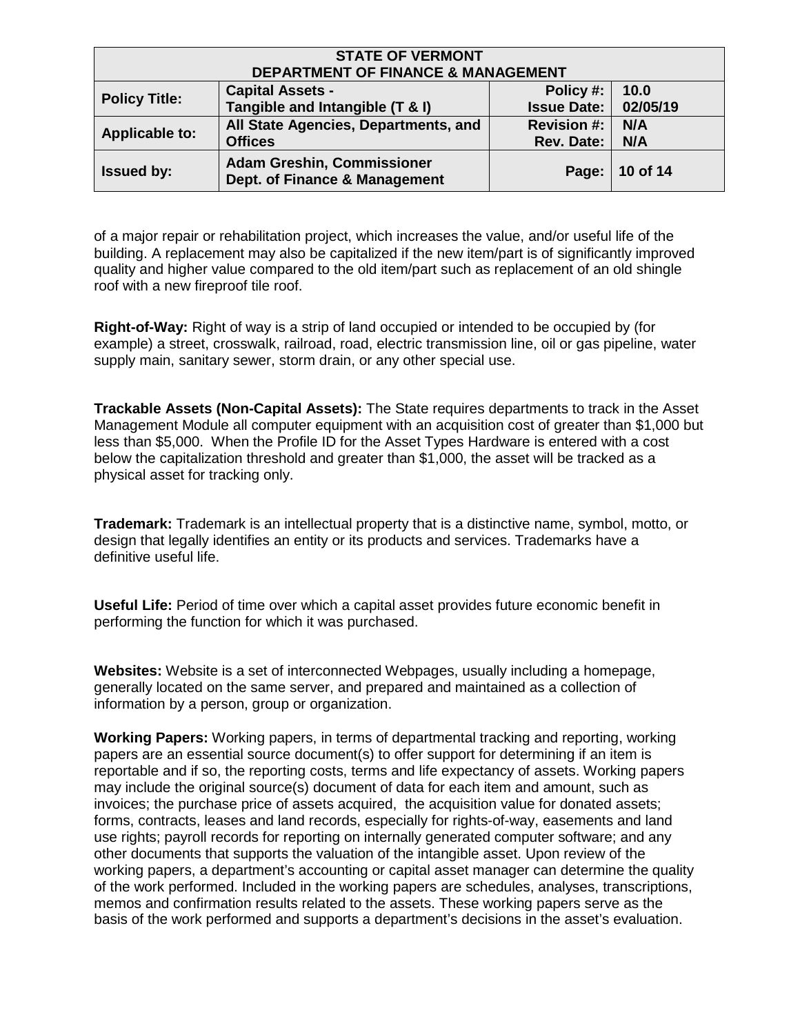| <b>STATE OF VERMONT</b><br><b>DEPARTMENT OF FINANCE &amp; MANAGEMENT</b>                                                                  |                                                        |                                         |            |  |
|-------------------------------------------------------------------------------------------------------------------------------------------|--------------------------------------------------------|-----------------------------------------|------------|--|
| 10.0<br><b>Capital Assets -</b><br>Policy #:<br><b>Policy Title:</b><br>Tangible and Intangible (T & I)<br><b>Issue Date:</b><br>02/05/19 |                                                        |                                         |            |  |
| <b>Applicable to:</b>                                                                                                                     | All State Agencies, Departments, and<br><b>Offices</b> | <b>Revision #:</b><br><b>Rev. Date:</b> | N/A<br>N/A |  |
| <b>Adam Greshin, Commissioner</b><br>Page:   10 of 14<br><b>Issued by:</b><br>Dept. of Finance & Management                               |                                                        |                                         |            |  |

of a major repair or rehabilitation project, which increases the value, and/or useful life of the building. A replacement may also be capitalized if the new item/part is of significantly improved quality and higher value compared to the old item/part such as replacement of an old shingle roof with a new fireproof tile roof.

**Right-of-Way:** Right of way is a strip of land occupied or intended to be occupied by (for example) a street, crosswalk, railroad, road, electric transmission line, oil or gas pipeline, water supply main, sanitary sewer, storm drain, or any other special use.

**Trackable Assets (Non-Capital Assets):** The State requires departments to track in the Asset Management Module all computer equipment with an acquisition cost of greater than \$1,000 but less than \$5,000. When the Profile ID for the Asset Types Hardware is entered with a cost below the capitalization threshold and greater than \$1,000, the asset will be tracked as a physical asset for tracking only.

**Trademark:** Trademark is an intellectual property that is a distinctive name, symbol, motto, or design that legally identifies an entity or its products and services. Trademarks have a definitive useful life.

**Useful Life:** Period of time over which a capital asset provides future economic benefit in performing the function for which it was purchased.

**Websites:** Website is a set of interconnected Webpages, usually including a homepage, generally located on the same server, and prepared and maintained as a collection of information by a person, group or organization.

**Working Papers:** Working papers, in terms of departmental tracking and reporting, working papers are an essential source document(s) to offer support for determining if an item is reportable and if so, the reporting costs, terms and life expectancy of assets. Working papers may include the original source(s) document of data for each item and amount, such as invoices; the purchase price of assets acquired, the acquisition value for donated assets; forms, contracts, leases and land records, especially for rights-of-way, easements and land use rights; payroll records for reporting on internally generated computer software; and any other documents that supports the valuation of the intangible asset. Upon review of the working papers, a department's accounting or capital asset manager can determine the quality of the work performed. Included in the working papers are schedules, analyses, transcriptions, memos and confirmation results related to the assets. These working papers serve as the basis of the work performed and supports a department's decisions in the asset's evaluation.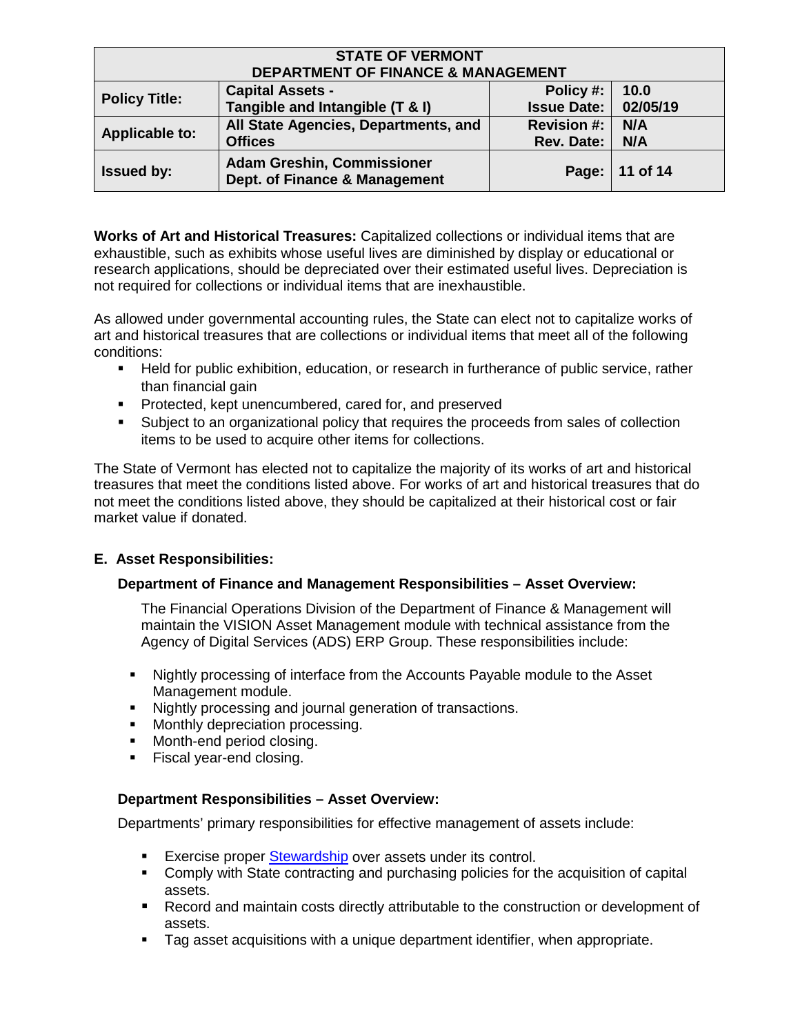| <b>STATE OF VERMONT</b><br><b>DEPARTMENT OF FINANCE &amp; MANAGEMENT</b>                                                                  |                                                        |                                         |            |  |
|-------------------------------------------------------------------------------------------------------------------------------------------|--------------------------------------------------------|-----------------------------------------|------------|--|
| <b>Capital Assets -</b><br>Policy #:<br>10.0<br><b>Policy Title:</b><br>Tangible and Intangible (T & I)<br>02/05/19<br><b>Issue Date:</b> |                                                        |                                         |            |  |
| <b>Applicable to:</b>                                                                                                                     | All State Agencies, Departments, and<br><b>Offices</b> | <b>Revision #:</b><br><b>Rev. Date:</b> | N/A<br>N/A |  |
| <b>Adam Greshin, Commissioner</b><br>Page:   11 of 14<br><b>Issued by:</b><br>Dept. of Finance & Management                               |                                                        |                                         |            |  |

**Works of Art and Historical Treasures:** Capitalized collections or individual items that are exhaustible, such as exhibits whose useful lives are diminished by display or educational or research applications, should be depreciated over their estimated useful lives. Depreciation is not required for collections or individual items that are inexhaustible.

As allowed under governmental accounting rules, the State can elect not to capitalize works of art and historical treasures that are collections or individual items that meet all of the following conditions:

- Held for public exhibition, education, or research in furtherance of public service, rather than financial gain
- **Protected, kept unencumbered, cared for, and preserved**
- **Subject to an organizational policy that requires the proceeds from sales of collection** items to be used to acquire other items for collections.

The State of Vermont has elected not to capitalize the majority of its works of art and historical treasures that meet the conditions listed above. For works of art and historical treasures that do not meet the conditions listed above, they should be capitalized at their historical cost or fair market value if donated.

### **E. Asset Responsibilities:**

### **Department of Finance and Management Responsibilities – Asset Overview:**

The Financial Operations Division of the Department of Finance & Management will maintain the VISION Asset Management module with technical assistance from the Agency of Digital Services (ADS) ERP Group. These responsibilities include:

- Nightly processing of interface from the Accounts Payable module to the Asset Management module.
- Nightly processing and journal generation of transactions.
- **Monthly depreciation processing.**
- **Month-end period closing.**
- **Fiscal year-end closing.**

### **Department Responsibilities – Asset Overview:**

Departments' primary responsibilities for effective management of assets include:

- Exercise proper [Stewardship](#page-11-0) over assets under its control.
- Comply with State contracting and purchasing policies for the acquisition of capital assets.
- **Record and maintain costs directly attributable to the construction or development of** assets.
- Tag asset acquisitions with a unique department identifier, when appropriate.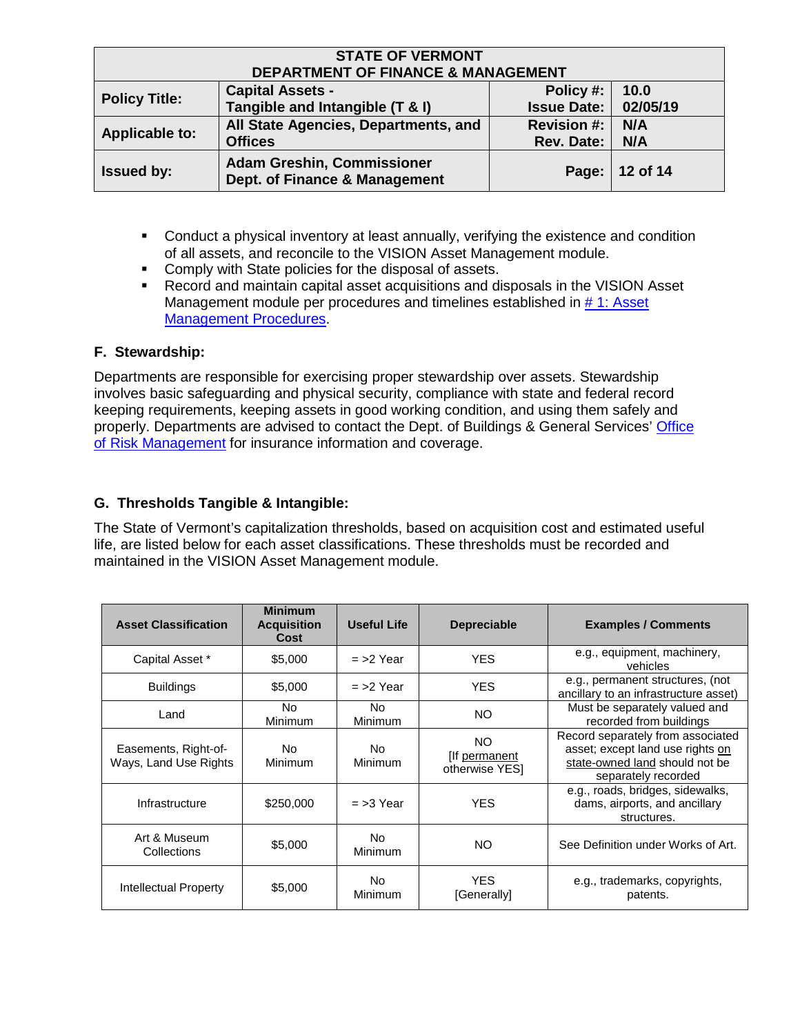| <b>STATE OF VERMONT</b><br><b>DEPARTMENT OF FINANCE &amp; MANAGEMENT</b> |                                                                    |                    |          |  |
|--------------------------------------------------------------------------|--------------------------------------------------------------------|--------------------|----------|--|
| <b>Policy Title:</b>                                                     | <b>Capital Assets -</b>                                            | Policy #:          | 10.0     |  |
|                                                                          | Tangible and Intangible (T & I)                                    | <b>Issue Date:</b> | 02/05/19 |  |
| <b>Applicable to:</b>                                                    | All State Agencies, Departments, and                               | <b>Revision #:</b> | N/A      |  |
|                                                                          | <b>Offices</b>                                                     | <b>Rev. Date:</b>  | N/A      |  |
| <b>Issued by:</b>                                                        | <b>Adam Greshin, Commissioner</b><br>Dept. of Finance & Management |                    | 12 of 14 |  |

- **Conduct a physical inventory at least annually, verifying the existence and condition** of all assets, and reconcile to the VISION Asset Management module.
- **Comply with State policies for the disposal of assets.**
- Record and maintain capital asset acquisitions and disposals in the VISION Asset Management module per procedures and timelines established in #1: Asset [Management Procedures.](https://finance.vermont.gov/policies-and-procedures/vision-procedures)

# <span id="page-11-0"></span>**F. Stewardship:**

Departments are responsible for exercising proper stewardship over assets. Stewardship involves basic safeguarding and physical security, compliance with state and federal record keeping requirements, keeping assets in good working condition, and using them safely and properly. Departments are advised to contact the Dept. of Buildings & General Services' Office [of Risk Management](http://aoa.vermont.gov/secretary/divisions/risk) for insurance information and coverage.

# **G. Thresholds Tangible & Intangible:**

The State of Vermont's capitalization thresholds, based on acquisition cost and estimated useful life, are listed below for each asset classifications. These thresholds must be recorded and maintained in the VISION Asset Management module.

| <b>Asset Classification</b>                   | <b>Minimum</b><br><b>Acquisition</b><br>Cost | Useful Life           | <b>Depreciable</b>                      | <b>Examples / Comments</b>                                                                                                     |
|-----------------------------------------------|----------------------------------------------|-----------------------|-----------------------------------------|--------------------------------------------------------------------------------------------------------------------------------|
| Capital Asset *                               | \$5,000                                      | $=$ >2 Year           | <b>YES</b>                              | e.g., equipment, machinery,<br>vehicles                                                                                        |
| <b>Buildings</b>                              | \$5,000                                      | $=$ >2 Year           | <b>YES</b>                              | e.g., permanent structures, (not<br>ancillary to an infrastructure asset)                                                      |
| Land                                          | No.<br>Minimum                               | No.<br><b>Minimum</b> | NO.                                     | Must be separately valued and<br>recorded from buildings                                                                       |
| Easements, Right-of-<br>Ways, Land Use Rights | No.<br>Minimum                               | No.<br><b>Minimum</b> | NO.<br>[If permanent]<br>otherwise YESI | Record separately from associated<br>asset; except land use rights on<br>state-owned land should not be<br>separately recorded |
| Infrastructure                                | \$250,000                                    | $=$ >3 Year           | <b>YES</b>                              | e.g., roads, bridges, sidewalks,<br>dams, airports, and ancillary<br>structures.                                               |
| Art & Museum<br>Collections                   | \$5,000                                      | No.<br>Minimum        | NO.                                     | See Definition under Works of Art.                                                                                             |
| Intellectual Property                         | \$5,000                                      | No.<br>Minimum        | <b>YES</b><br>[Generally]               | e.g., trademarks, copyrights,<br>patents.                                                                                      |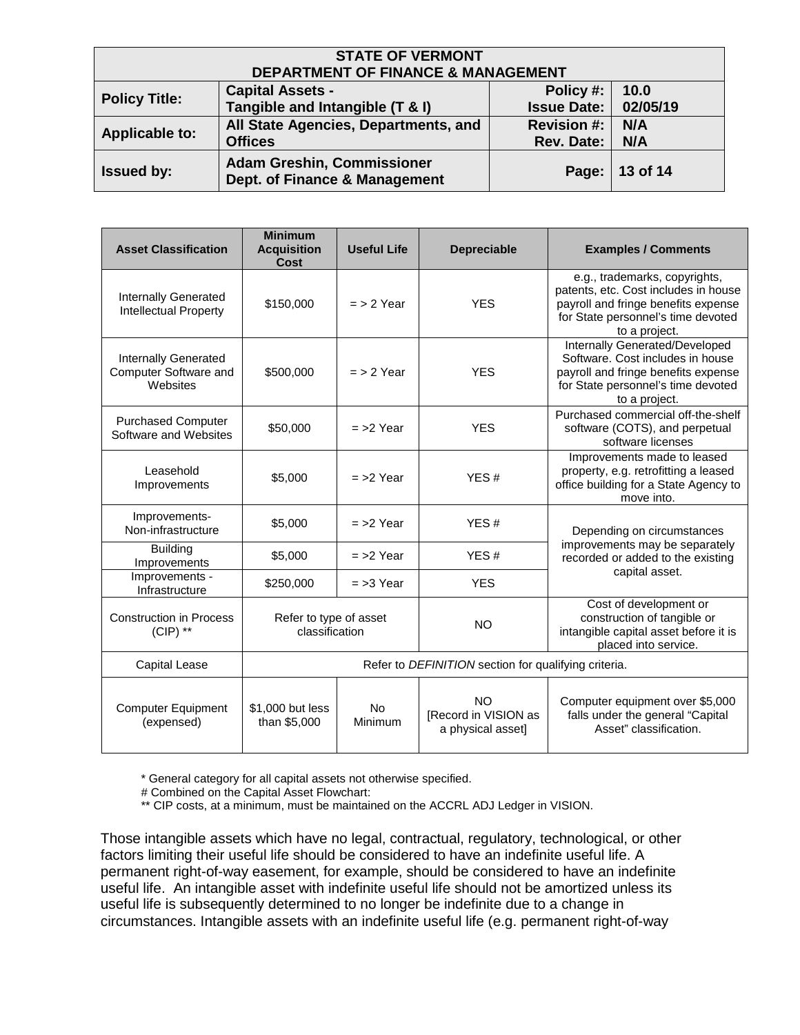| <b>STATE OF VERMONT</b><br><b>DEPARTMENT OF FINANCE &amp; MANAGEMENT</b> |                                                                    |                    |          |
|--------------------------------------------------------------------------|--------------------------------------------------------------------|--------------------|----------|
| <b>Policy Title:</b>                                                     | <b>Capital Assets -</b>                                            | Policy #:          | 10.0     |
|                                                                          | Tangible and Intangible (T & I)                                    | <b>Issue Date:</b> | 02/05/19 |
| <b>Applicable to:</b>                                                    | All State Agencies, Departments, and                               | <b>Revision #:</b> | N/A      |
|                                                                          | <b>Offices</b>                                                     | <b>Rev. Date:</b>  | N/A      |
| <b>Issued by:</b>                                                        | <b>Adam Greshin, Commissioner</b><br>Dept. of Finance & Management |                    | 13 of 14 |

| <b>Asset Classification</b>                                 | <b>Minimum</b><br><b>Acquisition</b><br><b>Cost</b>  | <b>Useful Life</b>   | <b>Depreciable</b>                                      | <b>Examples / Comments</b>                                                                                                                                          |  |
|-------------------------------------------------------------|------------------------------------------------------|----------------------|---------------------------------------------------------|---------------------------------------------------------------------------------------------------------------------------------------------------------------------|--|
| <b>Internally Generated</b><br><b>Intellectual Property</b> | \$150,000                                            | $=$ > 2 Year         | <b>YES</b>                                              | e.g., trademarks, copyrights,<br>patents, etc. Cost includes in house<br>payroll and fringe benefits expense<br>for State personnel's time devoted<br>to a project. |  |
| Internally Generated<br>Computer Software and<br>Websites   | \$500,000                                            | $=$ > 2 Year         | <b>YES</b>                                              | Internally Generated/Developed<br>Software. Cost includes in house<br>payroll and fringe benefits expense<br>for State personnel's time devoted<br>to a project.    |  |
| <b>Purchased Computer</b><br>Software and Websites          | \$50,000                                             | $=$ >2 Year          | <b>YES</b>                                              | Purchased commercial off-the-shelf<br>software (COTS), and perpetual<br>software licenses                                                                           |  |
| Leasehold<br>Improvements                                   | \$5,000                                              | $=$ >2 Year          | YES#                                                    | Improvements made to leased<br>property, e.g. retrofitting a leased<br>office building for a State Agency to<br>move into.                                          |  |
| Improvements-<br>Non-infrastructure                         | \$5,000                                              | $=$ >2 Year          | YES#                                                    | Depending on circumstances<br>improvements may be separately<br>recorded or added to the existing                                                                   |  |
| <b>Building</b><br>Improvements                             | \$5,000                                              | $=$ >2 Year          | YES#                                                    |                                                                                                                                                                     |  |
| Improvements -<br>Infrastructure                            | \$250,000                                            | $=$ >3 Year          | <b>YES</b>                                              | capital asset.                                                                                                                                                      |  |
| <b>Construction in Process</b><br>$(CIP)$ **                | Refer to type of asset<br>classification             |                      | <b>NO</b>                                               | Cost of development or<br>construction of tangible or<br>intangible capital asset before it is<br>placed into service.                                              |  |
| Capital Lease                                               | Refer to DEFINITION section for qualifying criteria. |                      |                                                         |                                                                                                                                                                     |  |
| <b>Computer Equipment</b><br>(expensed)                     | \$1,000 but less<br>than \$5,000                     | <b>No</b><br>Minimum | NO.<br><b>IRecord in VISION as</b><br>a physical asset] | Computer equipment over \$5,000<br>falls under the general "Capital<br>Asset" classification.                                                                       |  |

\* General category for all capital assets not otherwise specified.

# Combined on the Capital Asset Flowchart:

\*\* CIP costs, at a minimum, must be maintained on the ACCRL ADJ Ledger in VISION.

Those intangible assets which have no legal, contractual, regulatory, technological, or other factors limiting their useful life should be considered to have an indefinite useful life. A permanent right-of-way easement, for example, should be considered to have an indefinite useful life. An intangible asset with indefinite useful life should not be amortized unless its useful life is subsequently determined to no longer be indefinite due to a change in circumstances. Intangible assets with an indefinite useful life (e.g. permanent right-of-way